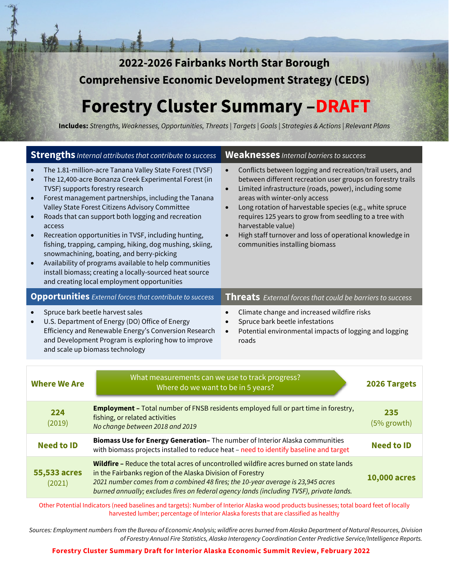**2022-2026 Fairbanks North Star Borough Comprehensive Economic Development Strategy (CEDS)** 

# **Forestry Cluster Summary –DRAFT**

**Includes:** *Strengths, Weaknesses, Opportunities, Threats | Targets | Goals | Strategies & Actions | Relevant Plans*

| <b>Strengths</b> <i>Internal attributes that contribute to success</i>                                                                                                                                                                                                                                                                                                                                                                                                                                                                                                                                                                                                                                                                |                                                                                                                                                                                                                                                                                                                                                            | <b>Weaknesses</b> Internal barriers to success                                                                                                                                                                                                                                                                                                                                                                                                                                                                    |              |
|---------------------------------------------------------------------------------------------------------------------------------------------------------------------------------------------------------------------------------------------------------------------------------------------------------------------------------------------------------------------------------------------------------------------------------------------------------------------------------------------------------------------------------------------------------------------------------------------------------------------------------------------------------------------------------------------------------------------------------------|------------------------------------------------------------------------------------------------------------------------------------------------------------------------------------------------------------------------------------------------------------------------------------------------------------------------------------------------------------|-------------------------------------------------------------------------------------------------------------------------------------------------------------------------------------------------------------------------------------------------------------------------------------------------------------------------------------------------------------------------------------------------------------------------------------------------------------------------------------------------------------------|--------------|
| The 1.81-million-acre Tanana Valley State Forest (TVSF)<br>The 12,400-acre Bonanza Creek Experimental Forest (in<br>$\bullet$<br>TVSF) supports forestry research<br>Forest management partnerships, including the Tanana<br>$\bullet$<br>Valley State Forest Citizens Advisory Committee<br>Roads that can support both logging and recreation<br>$\bullet$<br>access<br>Recreation opportunities in TVSF, including hunting,<br>$\bullet$<br>fishing, trapping, camping, hiking, dog mushing, skiing,<br>snowmachining, boating, and berry-picking<br>Availability of programs available to help communities<br>$\bullet$<br>install biomass; creating a locally-sourced heat source<br>and creating local employment opportunities |                                                                                                                                                                                                                                                                                                                                                            | Conflicts between logging and recreation/trail users, and<br>$\bullet$<br>between different recreation user groups on forestry trails<br>Limited infrastructure (roads, power), including some<br>$\bullet$<br>areas with winter-only access<br>Long rotation of harvestable species (e.g., white spruce<br>$\bullet$<br>requires 125 years to grow from seedling to a tree with<br>harvestable value)<br>High staff turnover and loss of operational knowledge in<br>$\bullet$<br>communities installing biomass |              |
| <b>Opportunities</b> External forces that contribute to success                                                                                                                                                                                                                                                                                                                                                                                                                                                                                                                                                                                                                                                                       |                                                                                                                                                                                                                                                                                                                                                            | <b>Threats</b> External forces that could be barriers to success                                                                                                                                                                                                                                                                                                                                                                                                                                                  |              |
| Spruce bark beetle harvest sales<br>Climate change and increased wildfire risks<br>U.S. Department of Energy (DO) Office of Energy<br>Spruce bark beetle infestations<br>$\bullet$<br>Efficiency and Renewable Energy's Conversion Research<br>Potential environmental impacts of logging and logging<br>$\bullet$<br>and Development Program is exploring how to improve<br>roads<br>and scale up biomass technology                                                                                                                                                                                                                                                                                                                 |                                                                                                                                                                                                                                                                                                                                                            |                                                                                                                                                                                                                                                                                                                                                                                                                                                                                                                   |              |
| What measurements can we use to track progress?<br><b>Where We Are</b><br>Where do we want to be in 5 years?                                                                                                                                                                                                                                                                                                                                                                                                                                                                                                                                                                                                                          |                                                                                                                                                                                                                                                                                                                                                            |                                                                                                                                                                                                                                                                                                                                                                                                                                                                                                                   | 2026 Targets |
| 224<br>(2019)                                                                                                                                                                                                                                                                                                                                                                                                                                                                                                                                                                                                                                                                                                                         | <b>Employment - Total number of FNSB residents employed full or part time in forestry,</b><br>235<br>fishing, or related activities<br>(5% growth)<br>No change between 2018 and 2019                                                                                                                                                                      |                                                                                                                                                                                                                                                                                                                                                                                                                                                                                                                   |              |
| <b>Need to ID</b>                                                                                                                                                                                                                                                                                                                                                                                                                                                                                                                                                                                                                                                                                                                     | Biomass Use for Energy Generation- The number of Interior Alaska communities<br><b>Need to ID</b><br>with biomass projects installed to reduce heat - need to identify baseline and target                                                                                                                                                                 |                                                                                                                                                                                                                                                                                                                                                                                                                                                                                                                   |              |
| 55,533 acres<br>(2021)                                                                                                                                                                                                                                                                                                                                                                                                                                                                                                                                                                                                                                                                                                                | Wildfire - Reduce the total acres of uncontrolled wildfire acres burned on state lands<br>in the Fairbanks region of the Alaska Division of Forestry<br><b>10,000 acres</b><br>2021 number comes from a combined 48 fires; the 10-year average is 23,945 acres<br>burned annually; excludes fires on federal agency lands (including TVSF), private lands. |                                                                                                                                                                                                                                                                                                                                                                                                                                                                                                                   |              |

Other Potential Indicators (need baselines and targets): Number of Interior Alaska wood products businesses; total board feet of locally harvested lumber; percentage of Interior Alaska forests that are classified as healthy

*Sources: Employment numbers from the Bureau of Economic Analysis; wildfire acres burned from Alaska Department of Natural Resources, Division of Forestry Annual Fire Statistics, Alaska Interagency Coordination Center Predictive Service/Intelligence Reports.* 

**Forestry Cluster Summary Draft for Interior Alaska Economic Summit Review, February 2022**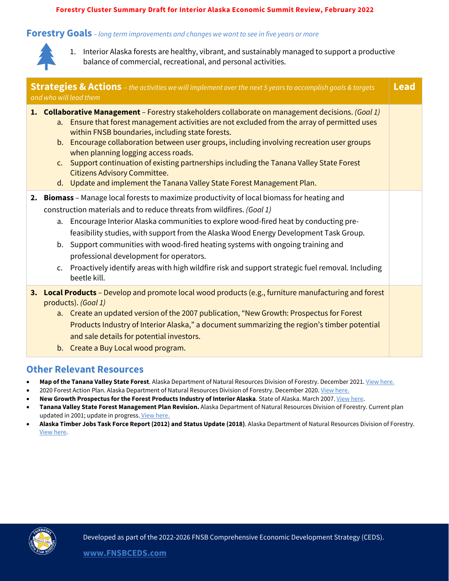#### **Forestry Cluster Summary Draft for Interior Alaska Economic Summit Review, February 2022**

#### **Forestry Goals** *– long term improvements and changes we want to see in five years or more*



1. Interior Alaska forests are healthy, vibrant, and sustainably managed to support a productive balance of commercial, recreational, and personal activities.

| <b>Strategies &amp; Actions</b> - the activities we will implement over the next 5 years to accomplish goals & targets<br><b>Lead</b><br>and who will lead them |                                                                                                                                                                                                                                                                                                                                                                                                                                                                                                                                                                                                                                    |  |  |  |
|-----------------------------------------------------------------------------------------------------------------------------------------------------------------|------------------------------------------------------------------------------------------------------------------------------------------------------------------------------------------------------------------------------------------------------------------------------------------------------------------------------------------------------------------------------------------------------------------------------------------------------------------------------------------------------------------------------------------------------------------------------------------------------------------------------------|--|--|--|
|                                                                                                                                                                 | 1. Collaborative Management - Forestry stakeholders collaborate on management decisions. (Goal 1)<br>Ensure that forest management activities are not excluded from the array of permitted uses<br>$a_{\cdot}$<br>within FNSB boundaries, including state forests.<br>b. Encourage collaboration between user groups, including involving recreation user groups<br>when planning logging access roads.<br>c. Support continuation of existing partnerships including the Tanana Valley State Forest<br><b>Citizens Advisory Committee.</b><br>d. Update and implement the Tanana Valley State Forest Management Plan.             |  |  |  |
|                                                                                                                                                                 | 2. Biomass - Manage local forests to maximize productivity of local biomass for heating and<br>construction materials and to reduce threats from wildfires. (Goal 1)<br>Encourage Interior Alaska communities to explore wood-fired heat by conducting pre-<br>a.<br>feasibility studies, with support from the Alaska Wood Energy Development Task Group.<br>Support communities with wood-fired heating systems with ongoing training and<br>b.<br>professional development for operators.<br>Proactively identify areas with high wildfire risk and support strategic fuel removal. Including<br>$\mathsf{C}$ .<br>beetle kill. |  |  |  |
|                                                                                                                                                                 | 3. Local Products - Develop and promote local wood products (e.g., furniture manufacturing and forest<br>products). (Goal 1)<br>a. Create an updated version of the 2007 publication, "New Growth: Prospectus for Forest<br>Products Industry of Interior Alaska," a document summarizing the region's timber potential<br>and sale details for potential investors.<br>b. Create a Buy Local wood program.                                                                                                                                                                                                                        |  |  |  |

#### **Other Relevant Resources**

- **Map of the Tanana Valley State Forest**. Alaska Department of Natural Resources Division of Forestry. December 2021[. View here.](http://forestry.alaska.gov/Assets/pdfs/stateforests/Tanana%20Valley%20State%20Forest%20map%20Dec%202021.pdf)
- 2020 Forest Action Plan. Alaska Department of Natural Resources Division of Forestry. December 2020. [View here.](http://forestry.alaska.gov/2020ForestActionPlan.htm)
- **New Growth Prospectus for the Forest Products Industry of Interior Alaska**. State of Alaska. March 2007[. View here.](https://www.yumpu.com/en/document/read/8546463/new-growth-fairbanks-economic-development-corporation)
- **Tanana Valley State Forest Management Plan Revision.** Alaska Department of Natural Resources Division of Forestry. Current plan updated in 2001; update in progress. [View here.](http://forestry.alaska.gov/TVSFrevision)
- **Alaska Timber Jobs Task Force Report (2012) and Status Update (2018)**. Alaska Department of Natural Resources Division of Forestry. [View here.](http://forestry.alaska.gov/aktimber_jobs_taskforce.htm)

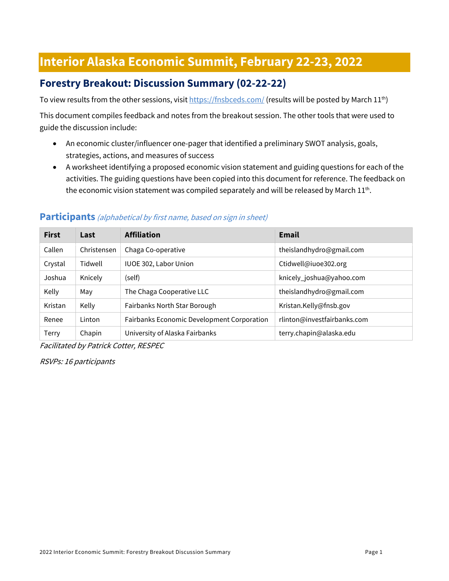# **Interior Alaska Economic Summit, February 22-23, 2022**

# **Forestry Breakout: Discussion Summary (02-22-22)**

To view results from the other sessions, visi[t https://fnsbceds.com/](https://fnsbceds.com/) (results will be posted by March 11<sup>th</sup>)

This document compiles feedback and notes from the breakout session. The other tools that were used to guide the discussion include:

- An economic cluster/influencer one-pager that identified a preliminary SWOT analysis, goals, strategies, actions, and measures of success
- A worksheet identifying a proposed economic vision statement and guiding questions for each of the activities. The guiding questions have been copied into this document for reference. The feedback on the economic vision statement was compiled separately and will be released by March  $11^{th}$ .

| <b>First</b> | Last        | <b>Affiliation</b>                         | <b>Email</b>                |
|--------------|-------------|--------------------------------------------|-----------------------------|
| Callen       | Christensen | Chaga Co-operative                         | theislandhydro@gmail.com    |
| Crystal      | Tidwell     | IUOE 302, Labor Union                      | Ctidwell@iuoe302.org        |
| Joshua       | Knicely     | (self)                                     | knicely_joshua@yahoo.com    |
| Kelly        | May         | The Chaga Cooperative LLC                  | theislandhydro@gmail.com    |
| Kristan      | Kelly       | Fairbanks North Star Borough               | Kristan.Kelly@fnsb.gov      |
| Renee        | Linton      | Fairbanks Economic Development Corporation | rlinton@investfairbanks.com |
| Terry        | Chapin      | University of Alaska Fairbanks             | terry.chapin@alaska.edu     |

#### **Participants** (alphabetical by first name, based on sign in sheet)

Facilitated by Patrick Cotter, RESPEC

RSVPs: 16 participants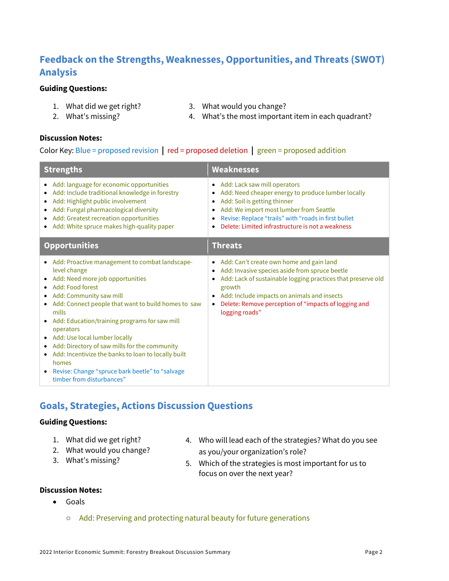# **Feedback on the Strengths, Weaknesses, Opportunities, and Threats (SWOT) Analysis**

#### **Guiding Questions:**

- 1. What did we get right?
- 2. What's missing?
- 3. What would you change?
- 

4. What's the most important item in each quadrant?

#### **Discussion Notes:**

#### Color Key: Blue = proposed revision **|** red = proposed deletion **|** green = proposed addition

| <b>Strengths</b>                                                                                                                                                                                                                                                                                                                                                                                                                                                                                                            | <b>Weaknesses</b>                                                                                                                                                                                                                                                                               |  |
|-----------------------------------------------------------------------------------------------------------------------------------------------------------------------------------------------------------------------------------------------------------------------------------------------------------------------------------------------------------------------------------------------------------------------------------------------------------------------------------------------------------------------------|-------------------------------------------------------------------------------------------------------------------------------------------------------------------------------------------------------------------------------------------------------------------------------------------------|--|
| Add: language for economic opportunities<br>Add: Include traditional knowledge in forestry<br>Add: Highlight public involvement<br>Add: Fungal pharmacological diversity<br>Add: Greatest recreation opportunities<br>Add: White spruce makes high-quality paper                                                                                                                                                                                                                                                            | • Add: Lack saw mill operators<br>Add: Need cheaper energy to produce lumber locally<br>Add: Soil is getting thinner<br>Add: We import most lumber from Seattle<br>Revise: Replace "trails" with "roads in first bullet<br>$\bullet$<br>Delete: Limited infrastructure is not a weakness        |  |
| <b>Opportunities</b>                                                                                                                                                                                                                                                                                                                                                                                                                                                                                                        | <b>Threats</b>                                                                                                                                                                                                                                                                                  |  |
| • Add: Proactive management to combat landscape-<br>level change<br>• Add: Need more job opportunities<br>Add: Food forest<br>• Add: Community saw mill<br>Add: Connect people that want to build homes to saw<br>mills<br>• Add: Education/training programs for saw mill<br>operators<br>Add: Use local lumber locally<br>Add: Directory of saw mills for the community<br>Add: Incentivize the banks to loan to locally built<br>homes<br>• Revise: Change "spruce bark beetle" to "salvage<br>timber from disturbances" | • Add: Can't create own home and gain land<br>Add: Invasive species aside from spruce beetle<br>Add: Lack of sustainable logging practices that preserve old<br>growth<br>Add: Include impacts on animals and insects<br>Delete: Remove perception of "impacts of logging and<br>logging roads" |  |

## **Goals, Strategies, Actions Discussion Questions**

#### **Guiding Questions:**

- 1. What did we get right?
- 2. What would you change?
- 3. What's missing?
- 4. Who will lead each of the strategies? What do you see as you/your organization's role?
- 5. Which of the strategies is most important for us to focus on over the next year?

#### **Discussion Notes:**

- Goals
	- Add: Preserving and protecting natural beauty for future generations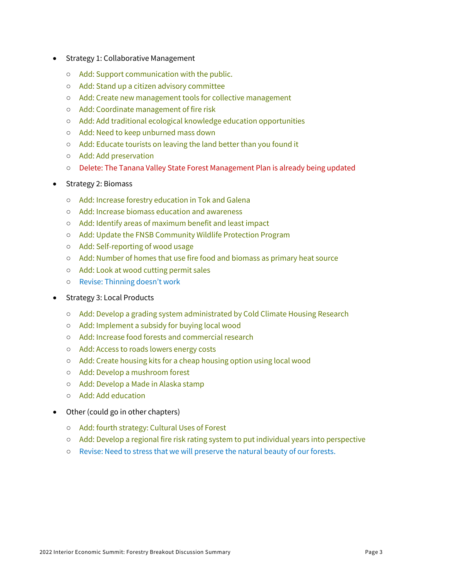- Strategy 1: Collaborative Management
	- Add: Support communication with the public.
	- Add: Stand up a citizen advisory committee
	- Add: Create new management tools for collective management
	- Add: Coordinate management of fire risk
	- Add: Add traditional ecological knowledge education opportunities
	- Add: Need to keep unburned mass down
	- Add: Educate tourists on leaving the land better than you found it
	- Add: Add preservation
	- Delete: The Tanana Valley State Forest Management Plan is already being updated
- Strategy 2: Biomass
	- Add: Increase forestry education in Tok and Galena
	- Add: Increase biomass education and awareness
	- Add: Identify areas of maximum benefit and least impact
	- Add: Update the FNSB Community Wildlife Protection Program
	- Add: Self-reporting of wood usage
	- Add: Number of homes that use fire food and biomass as primary heat source
	- Add: Look at wood cutting permit sales
	- Revise: Thinning doesn't work
- Strategy 3: Local Products
	- Add: Develop a grading system administrated by Cold Climate Housing Research
	- Add: Implement a subsidy for buying local wood
	- Add: Increase food forests and commercial research
	- Add: Access to roads lowers energy costs
	- Add: Create housing kits for a cheap housing option using local wood
	- Add: Develop a mushroom forest
	- Add: Develop a Made in Alaska stamp
	- Add: Add education
- Other (could go in other chapters)
	- Add: fourth strategy: Cultural Uses of Forest
	- Add: Develop a regional fire risk rating system to put individual years into perspective
	- Revise: Need to stress that we will preserve the natural beauty of our forests.